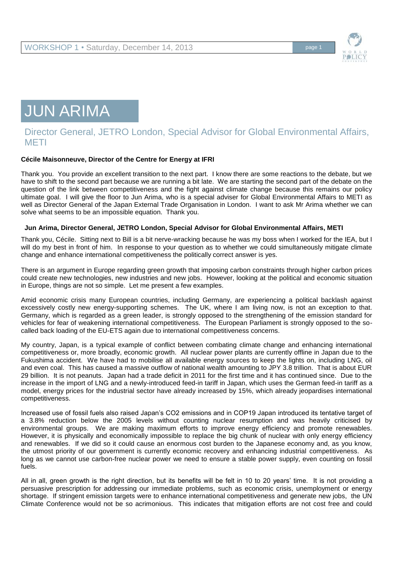

## JUN ARIMA

## Director General, JETRO London, Special Advisor for Global Environmental Affairs, METI

## **Cécile Maisonneuve, Director of the Centre for Energy at IFRI**

Thank you. You provide an excellent transition to the next part. I know there are some reactions to the debate, but we have to shift to the second part because we are running a bit late. We are starting the second part of the debate on the question of the link between competitiveness and the fight against climate change because this remains our policy ultimate goal. I will give the floor to Jun Arima, who is a special adviser for Global Environmental Affairs to METI as well as Director General of the Japan External Trade Organisation in London. I want to ask Mr Arima whether we can solve what seems to be an impossible equation. Thank you.

## **Jun Arima, Director General, JETRO London, Special Advisor for Global Environmental Affairs, METI**

Thank you, Cécile. Sitting next to Bill is a bit nerve-wracking because he was my boss when I worked for the IEA, but I will do my best in front of him. In response to your question as to whether we could simultaneously mitigate climate change and enhance international competitiveness the politically correct answer is yes.

There is an argument in Europe regarding green growth that imposing carbon constraints through higher carbon prices could create new technologies, new industries and new jobs. However, looking at the political and economic situation in Europe, things are not so simple. Let me present a few examples.

Amid economic crisis many European countries, including Germany, are experiencing a political backlash against excessively costly new energy-supporting schemes. The UK, where I am living now, is not an exception to that. Germany, which is regarded as a green leader, is strongly opposed to the strengthening of the emission standard for vehicles for fear of weakening international competitiveness. The European Parliament is strongly opposed to the socalled back loading of the EU-ETS again due to international competitiveness concerns.

My country, Japan, is a typical example of conflict between combating climate change and enhancing international competitiveness or, more broadly, economic growth. All nuclear power plants are currently offline in Japan due to the Fukushima accident. We have had to mobilise all available energy sources to keep the lights on, including LNG, oil and even coal. This has caused a massive outflow of national wealth amounting to JPY 3.8 trillion. That is about EUR 29 billion. It is not peanuts. Japan had a trade deficit in 2011 for the first time and it has continued since. Due to the increase in the import of LNG and a newly-introduced feed-in tariff in Japan, which uses the German feed-in tariff as a model, energy prices for the industrial sector have already increased by 15%, which already jeopardises international competitiveness.

Increased use of fossil fuels also raised Japan's CO2 emissions and in COP19 Japan introduced its tentative target of a 3.8% reduction below the 2005 levels without counting nuclear resumption and was heavily criticised by environmental groups. We are making maximum efforts to improve energy efficiency and promote renewables. However, it is physically and economically impossible to replace the big chunk of nuclear with only energy efficiency and renewables. If we did so it could cause an enormous cost burden to the Japanese economy and, as you know, the utmost priority of our government is currently economic recovery and enhancing industrial competitiveness. As long as we cannot use carbon-free nuclear power we need to ensure a stable power supply, even counting on fossil fuels.

All in all, green growth is the right direction, but its benefits will be felt in 10 to 20 years' time. It is not providing a persuasive prescription for addressing our immediate problems, such as economic crisis, unemployment or energy shortage. If stringent emission targets were to enhance international competitiveness and generate new jobs, the UN Climate Conference would not be so acrimonious. This indicates that mitigation efforts are not cost free and could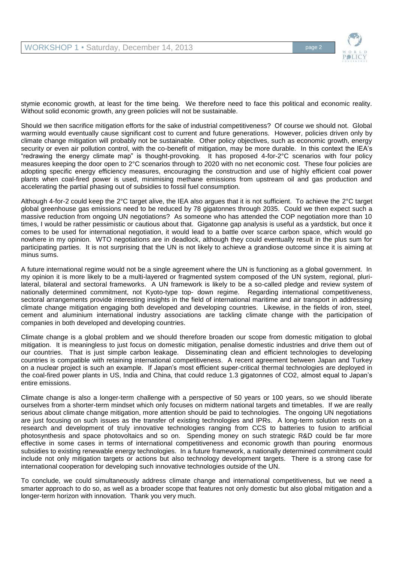

stymie economic growth, at least for the time being. We therefore need to face this political and economic reality. Without solid economic growth, any green policies will not be sustainable.

Should we then sacrifice mitigation efforts for the sake of industrial competitiveness? Of course we should not. Global warming would eventually cause significant cost to current and future generations. However, policies driven only by climate change mitigation will probably not be sustainable. Other policy objectives, such as economic growth, energy security or even air pollution control, with the co-benefit of mitigation, may be more durable. In this context the IEA's "redrawing the energy climate map" is thought-provoking. It has proposed 4-for-2°C scenarios with four policy measures keeping the door open to 2°C scenarios through to 2020 with no net economic cost. These four policies are adopting specific energy efficiency measures, encouraging the construction and use of highly efficient coal power plants when coal-fired power is used, minimising methane emissions from upstream oil and gas production and accelerating the partial phasing out of subsidies to fossil fuel consumption.

Although 4-for-2 could keep the 2°C target alive, the IEA also argues that it is not sufficient. To achieve the 2°C target global greenhouse gas emissions need to be reduced by 78 gigatonnes through 2035. Could we then expect such a massive reduction from ongoing UN negotiations? As someone who has attended the COP negotiation more than 10 times, I would be rather pessimistic or cautious about that. Gigatonne gap analysis is useful as a yardstick, but once it comes to be used for international negotiation, it would lead to a battle over scarce carbon space, which would go nowhere in my opinion. WTO negotiations are in deadlock, although they could eventually result in the plus sum for participating parties. It is not surprising that the UN is not likely to achieve a grandiose outcome since it is aiming at minus sums.

A future international regime would not be a single agreement where the UN is functioning as a global government. In my opinion it is more likely to be a multi-layered or fragmented system composed of the UN system, regional, plurilateral, bilateral and sectoral frameworks. A UN framework is likely to be a so-called pledge and review system of nationally determined commitment, not Kyoto-type top- down regime. Regarding international competitiveness, sectoral arrangements provide interesting insights in the field of international maritime and air transport in addressing climate change mitigation engaging both developed and developing countries. Likewise, in the fields of iron, steel, cement and aluminium international industry associations are tackling climate change with the participation of companies in both developed and developing countries.

Climate change is a global problem and we should therefore broaden our scope from domestic mitigation to global mitigation. It is meaningless to just focus on domestic mitigation, penalise domestic industries and drive them out of our countries. That is just simple carbon leakage. Disseminating clean and efficient technologies to developing countries is compatible with retaining international competitiveness. A recent agreement between Japan and Turkey on a nuclear project is such an example. If Japan's most efficient super-critical thermal technologies are deployed in the coal-fired power plants in US, India and China, that could reduce 1.3 gigatonnes of CO2, almost equal to Japan's entire emissions.

Climate change is also a longer-term challenge with a perspective of 50 years or 100 years, so we should liberate ourselves from a shorter-term mindset which only focuses on midterm national targets and timetables. If we are really serious about climate change mitigation, more attention should be paid to technologies. The ongoing UN negotiations are just focusing on such issues as the transfer of existing technologies and IPRs. A long-term solution rests on a research and development of truly innovative technologies ranging from CCS to batteries to fusion to artificial photosynthesis and space photovoltaics and so on. Spending money on such strategic R&D could be far more effective in some cases in terms of international competitiveness and economic growth than pouring enormous subsidies to existing renewable energy technologies. In a future framework, a nationally determined commitment could include not only mitigation targets or actions but also technology development targets. There is a strong case for international cooperation for developing such innovative technologies outside of the UN.

To conclude, we could simultaneously address climate change and international competitiveness, but we need a smarter approach to do so, as well as a broader scope that features not only domestic but also global mitigation and a longer-term horizon with innovation. Thank you very much.